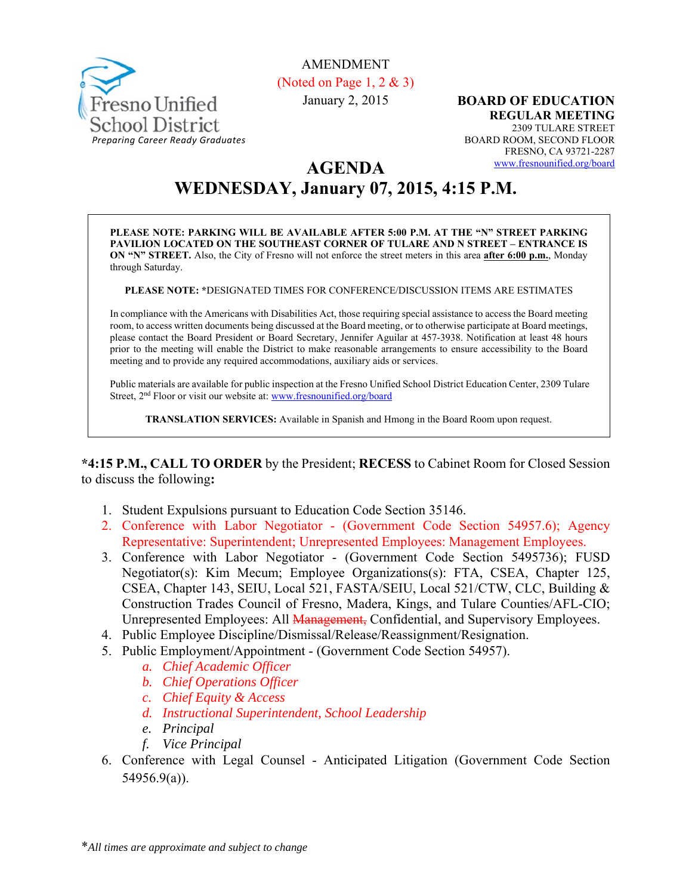

#### AMENDMENT (Noted on Page 1, 2 & 3)

January 2, 2015

**BOARD OF EDUCATION REGULAR MEETING**  2309 TULARE STREET BOARD ROOM, SECOND FLOOR FRESNO, CA 93721-2287 www.fresnounified.org/board

# **AGENDA WEDNESDAY, January 07, 2015, 4:15 P.M.**

**PLEASE NOTE: PARKING WILL BE AVAILABLE AFTER 5:00 P.M. AT THE "N" STREET PARKING PAVILION LOCATED ON THE SOUTHEAST CORNER OF TULARE AND N STREET – ENTRANCE IS ON "N" STREET.** Also, the City of Fresno will not enforce the street meters in this area **after 6:00 p.m.**, Monday through Saturday.

**PLEASE NOTE: \***DESIGNATED TIMES FOR CONFERENCE/DISCUSSION ITEMS ARE ESTIMATES

In compliance with the Americans with Disabilities Act, those requiring special assistance to access the Board meeting room, to access written documents being discussed at the Board meeting, or to otherwise participate at Board meetings, please contact the Board President or Board Secretary, Jennifer Aguilar at 457-3938. Notification at least 48 hours prior to the meeting will enable the District to make reasonable arrangements to ensure accessibility to the Board meeting and to provide any required accommodations, auxiliary aids or services.

Public materials are available for public inspection at the Fresno Unified School District Education Center, 2309 Tulare Street, 2nd Floor or visit our website at: www.fresnounified.org/board

**TRANSLATION SERVICES:** Available in Spanish and Hmong in the Board Room upon request.

**\*4:15 P.M., CALL TO ORDER** by the President; **RECESS** to Cabinet Room for Closed Session to discuss the following**:** 

- 1. Student Expulsions pursuant to Education Code Section 35146.
- 2. Conference with Labor Negotiator (Government Code Section 54957.6); Agency Representative: Superintendent; Unrepresented Employees: Management Employees.
- 3. Conference with Labor Negotiator (Government Code Section 5495736); FUSD Negotiator(s): Kim Mecum; Employee Organizations(s): FTA, CSEA, Chapter 125, CSEA, Chapter 143, SEIU, Local 521, FASTA/SEIU, Local 521/CTW, CLC, Building & Construction Trades Council of Fresno, Madera, Kings, and Tulare Counties/AFL-CIO; Unrepresented Employees: All **Management**, Confidential, and Supervisory Employees.
- 4. Public Employee Discipline/Dismissal/Release/Reassignment/Resignation.
- 5. Public Employment/Appointment (Government Code Section 54957).
	- *a. Chief Academic Officer*
	- *b. Chief Operations Officer*
	- *c. Chief Equity & Access*
	- *d. Instructional Superintendent, School Leadership*
	- *e. Principal*
	- *f. Vice Principal*
- 6. Conference with Legal Counsel Anticipated Litigation (Government Code Section 54956.9(a)).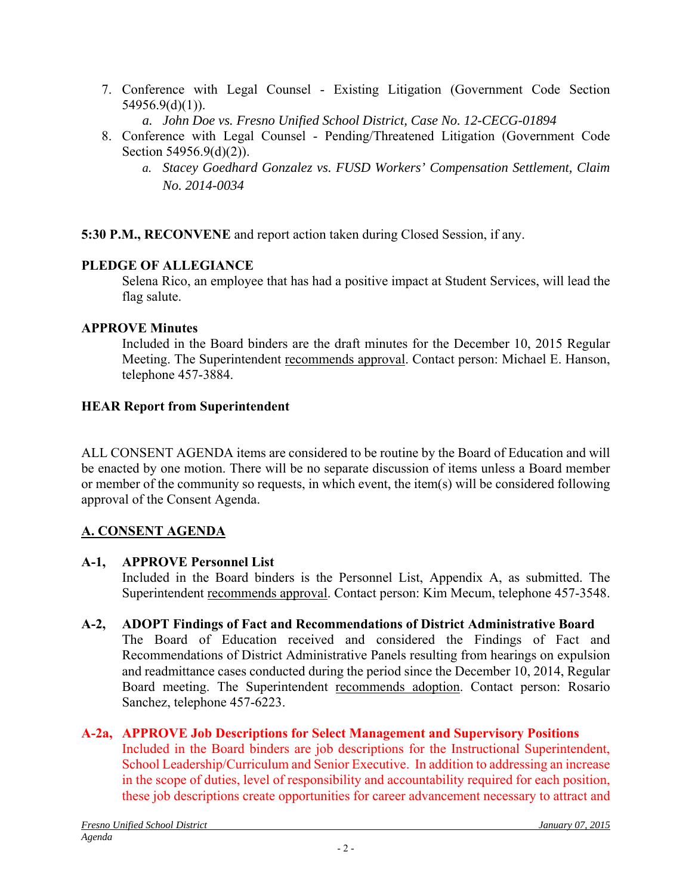- 7. Conference with Legal Counsel Existing Litigation (Government Code Section 54956.9(d)(1)).
	- *a. John Doe vs. Fresno Unified School District, Case No. 12-CECG-01894*
- 8. Conference with Legal Counsel Pending/Threatened Litigation (Government Code Section 54956.9(d)(2)).
	- *a. Stacey Goedhard Gonzalez vs. FUSD Workers' Compensation Settlement, Claim No. 2014-0034*

**5:30 P.M., RECONVENE** and report action taken during Closed Session, if any.

## **PLEDGE OF ALLEGIANCE**

Selena Rico, an employee that has had a positive impact at Student Services, will lead the flag salute.

## **APPROVE Minutes**

Included in the Board binders are the draft minutes for the December 10, 2015 Regular Meeting. The Superintendent recommends approval. Contact person: Michael E. Hanson, telephone 457-3884.

## **HEAR Report from Superintendent**

ALL CONSENT AGENDA items are considered to be routine by the Board of Education and will be enacted by one motion. There will be no separate discussion of items unless a Board member or member of the community so requests, in which event, the item(s) will be considered following approval of the Consent Agenda.

## **A. CONSENT AGENDA**

## **A-1, APPROVE Personnel List**

Included in the Board binders is the Personnel List, Appendix A, as submitted. The Superintendent recommends approval. Contact person: Kim Mecum, telephone 457-3548.

**A-2, ADOPT Findings of Fact and Recommendations of District Administrative Board**

The Board of Education received and considered the Findings of Fact and Recommendations of District Administrative Panels resulting from hearings on expulsion and readmittance cases conducted during the period since the December 10, 2014, Regular Board meeting. The Superintendent recommends adoption. Contact person: Rosario Sanchez, telephone 457-6223.

## **A-2a, APPROVE Job Descriptions for Select Management and Supervisory Positions**

Included in the Board binders are job descriptions for the Instructional Superintendent, School Leadership/Curriculum and Senior Executive. In addition to addressing an increase in the scope of duties, level of responsibility and accountability required for each position, these job descriptions create opportunities for career advancement necessary to attract and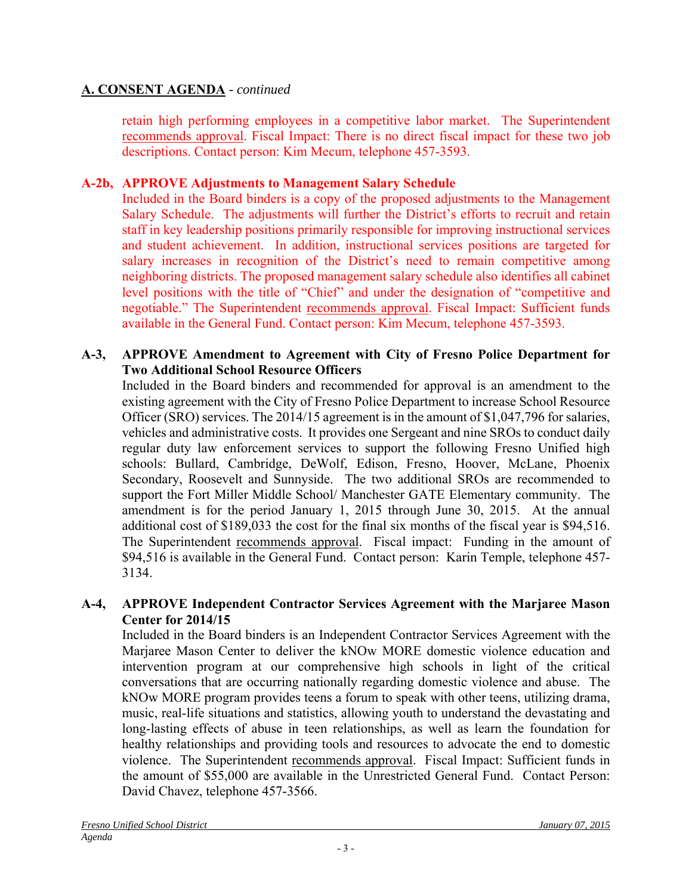## **A. CONSENT AGENDA** *- continued*

retain high performing employees in a competitive labor market. The Superintendent recommends approval. Fiscal Impact: There is no direct fiscal impact for these two job descriptions. Contact person: Kim Mecum, telephone 457-3593.

## **A-2b, APPROVE Adjustments to Management Salary Schedule**

Included in the Board binders is a copy of the proposed adjustments to the Management Salary Schedule. The adjustments will further the District's efforts to recruit and retain staff in key leadership positions primarily responsible for improving instructional services and student achievement. In addition, instructional services positions are targeted for salary increases in recognition of the District's need to remain competitive among neighboring districts. The proposed management salary schedule also identifies all cabinet level positions with the title of "Chief" and under the designation of "competitive and negotiable." The Superintendent recommends approval. Fiscal Impact: Sufficient funds available in the General Fund. Contact person: Kim Mecum, telephone 457-3593.

#### **A-3, APPROVE Amendment to Agreement with City of Fresno Police Department for Two Additional School Resource Officers**

Included in the Board binders and recommended for approval is an amendment to the existing agreement with the City of Fresno Police Department to increase School Resource Officer (SRO) services. The 2014/15 agreement is in the amount of \$1,047,796 for salaries, vehicles and administrative costs. It provides one Sergeant and nine SROs to conduct daily regular duty law enforcement services to support the following Fresno Unified high schools: Bullard, Cambridge, DeWolf, Edison, Fresno, Hoover, McLane, Phoenix Secondary, Roosevelt and Sunnyside. The two additional SROs are recommended to support the Fort Miller Middle School/ Manchester GATE Elementary community. The amendment is for the period January 1, 2015 through June 30, 2015. At the annual additional cost of \$189,033 the cost for the final six months of the fiscal year is \$94,516. The Superintendent recommends approval. Fiscal impact: Funding in the amount of \$94,516 is available in the General Fund. Contact person: Karin Temple, telephone 457- 3134.

#### **A-4, APPROVE Independent Contractor Services Agreement with the Marjaree Mason Center for 2014/15**

Included in the Board binders is an Independent Contractor Services Agreement with the Marjaree Mason Center to deliver the kNOw MORE domestic violence education and intervention program at our comprehensive high schools in light of the critical conversations that are occurring nationally regarding domestic violence and abuse. The kNOw MORE program provides teens a forum to speak with other teens, utilizing drama, music, real-life situations and statistics, allowing youth to understand the devastating and long-lasting effects of abuse in teen relationships, as well as learn the foundation for healthy relationships and providing tools and resources to advocate the end to domestic violence. The Superintendent recommends approval. Fiscal Impact: Sufficient funds in the amount of \$55,000 are available in the Unrestricted General Fund. Contact Person: David Chavez, telephone 457-3566.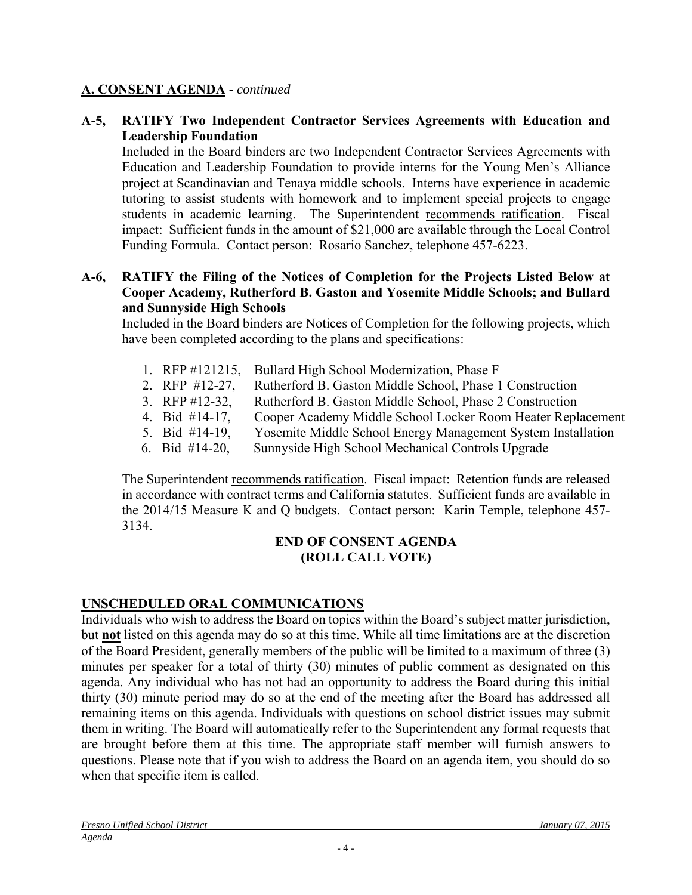#### **A. CONSENT AGENDA** *- continued*

#### **A-5, RATIFY Two Independent Contractor Services Agreements with Education and Leadership Foundation**

Included in the Board binders are two Independent Contractor Services Agreements with Education and Leadership Foundation to provide interns for the Young Men's Alliance project at Scandinavian and Tenaya middle schools. Interns have experience in academic tutoring to assist students with homework and to implement special projects to engage students in academic learning. The Superintendent recommends ratification. Fiscal impact: Sufficient funds in the amount of \$21,000 are available through the Local Control Funding Formula. Contact person: Rosario Sanchez, telephone 457-6223.

#### **A-6, RATIFY the Filing of the Notices of Completion for the Projects Listed Below at Cooper Academy, Rutherford B. Gaston and Yosemite Middle Schools; and Bullard and Sunnyside High Schools**

Included in the Board binders are Notices of Completion for the following projects, which have been completed according to the plans and specifications:

- 1. RFP #121215, Bullard High School Modernization, Phase F
- 2. RFP #12-27, Rutherford B. Gaston Middle School, Phase 1 Construction
- 3. RFP #12-32, Rutherford B. Gaston Middle School, Phase 2 Construction
- 4. Bid #14-17, Cooper Academy Middle School Locker Room Heater Replacement
- 5. Bid #14-19, Yosemite Middle School Energy Management System Installation
- 6. Bid #14-20, Sunnyside High School Mechanical Controls Upgrade

The Superintendent recommends ratification. Fiscal impact: Retention funds are released in accordance with contract terms and California statutes. Sufficient funds are available in the 2014/15 Measure K and Q budgets. Contact person: Karin Temple, telephone 457- 3134.

#### **END OF CONSENT AGENDA (ROLL CALL VOTE)**

## **UNSCHEDULED ORAL COMMUNICATIONS**

Individuals who wish to address the Board on topics within the Board's subject matter jurisdiction, but **not** listed on this agenda may do so at this time. While all time limitations are at the discretion of the Board President, generally members of the public will be limited to a maximum of three (3) minutes per speaker for a total of thirty (30) minutes of public comment as designated on this agenda. Any individual who has not had an opportunity to address the Board during this initial thirty (30) minute period may do so at the end of the meeting after the Board has addressed all remaining items on this agenda. Individuals with questions on school district issues may submit them in writing. The Board will automatically refer to the Superintendent any formal requests that are brought before them at this time. The appropriate staff member will furnish answers to questions. Please note that if you wish to address the Board on an agenda item, you should do so when that specific item is called.